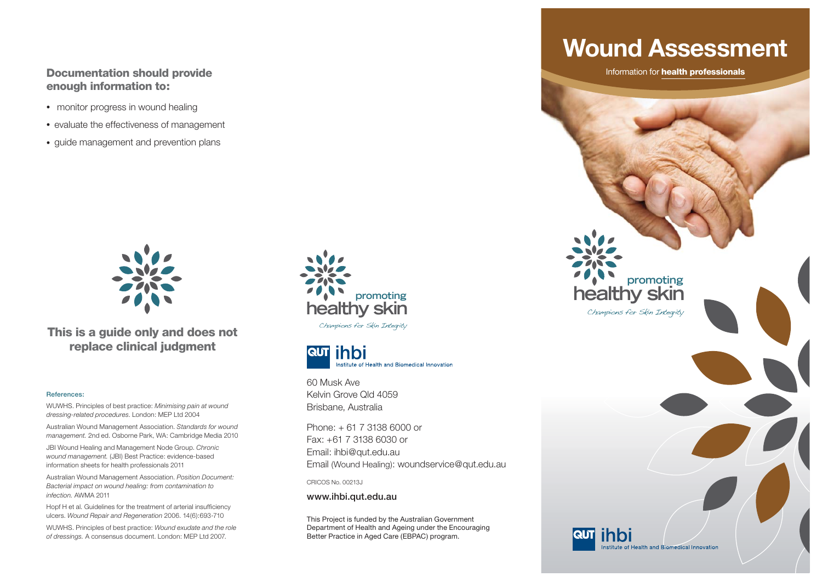#### **Documentation should provide enough information to:**

- monitor progress in wound healing
- evaluate the effectiveness of management
- guide management and prevention plans



**This is a guide only and does not replace clinical judgment**

#### **References:**

WUWHS. Principles of best practice: *Minimising pain at wound dressing-related procedures*. London: MEP Ltd 2004

Australian Wound Management Association. *Standards for wound management.* 2nd ed. Osborne Park, WA: Cambridge Media 2010

JBI Wound Healing and Management Node Group. *Chronic wound management.* (JBI) Best Practice: evidence-based information sheets for health professionals 2011

Australian Wound Management Association. *Position Document: Bacterial impact on wound healing: from contamination to infection.* AWMA 2011

Hopf H et al. Guidelines for the treatment of arterial insufficiency ulcers. *Wound Repair and Regeneration* 2006. 14(6):693-710

WUWHS. Principles of best practice: *Wound exudate and the role of dressings.* A consensus document. London: MEP Ltd 2007.



Champions for Skin Integrity



60 Musk Ave Kelvin Grove Qld 4059Brisbane, Australia

Phone: + 61 7 3138 6000 or Fax: +61 7 3138 6030 or Email: ihbi@qut.edu.au Email (Wound Healing): woundservice@qut.edu.au

CRICOS No. 00213J

**www.ihbi.qut.edu.au**

This Project is funded by the Australian Government Department of Health and Ageing under the Encouraging Better Practice in Aged Care (EBPAC) program.

## **Wound Assessment**

Information for **health professionals**

**healthy skin**

**RUT Think** 

Champions for Skin Integrity

**promoting**

Institute of Health and Biomedical Innovation